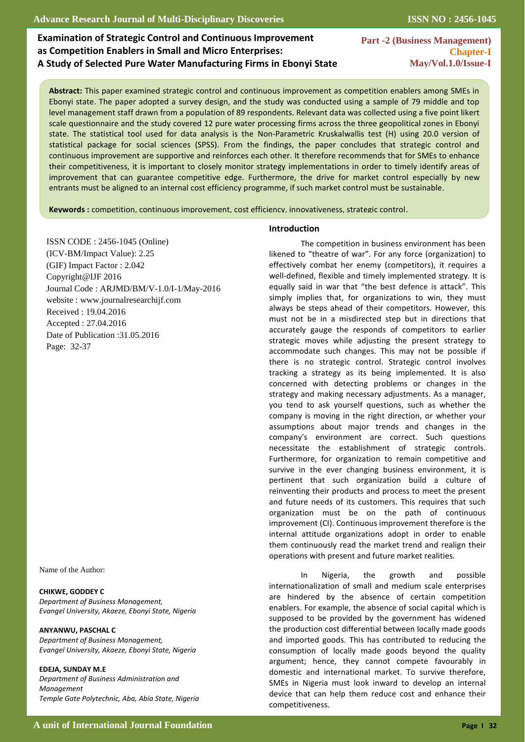# **Examination of Strategic Control and Continuous Improvement as Competition Enablers in Small and Micro Enterprises: A Study of Selected Pure Water Manufacturing Firms in Ebonyi State**

**Part -2 (Business Management) Chapter-I May/Vol.1.0/Issue-I** 

 **Abstract:** This paper examined strategic control and continuous improvement as competition enablers among SMEs in Ebonyi state. The paper adopted a survey design, and the study was conducted using a sample of 79 middle and top level management staff drawn from a population of 89 respondents. Relevant data was collected using a five point likert scale questionnaire and the study covered 12 pure water processing firms across the three geopolitical zones in Ebonyi state. The statistical tool used for data analysis is the Non-Parametric Kruskalwallis test (H) using 20.0 version of statistical package for social sciences (SPSS). From the findings, the paper concludes that strategic control and continuous improvement are supportive and reinforces each other. It therefore recommends that for SMEs to enhance their competitiveness, it is important to closely monitor strategy implementations in order to timely identify areas of improvement that can guarantee competitive edge. Furthermore, the drive for market control especially by new entrants must be aligned to an internal cost efficiency programme, if such market control must be sustainable.

**Keywords :** competition, continuous improvement, cost efficiency, innovativeness, strategic control.  $\overline{a}$ 

ISSN CODE : 2456-1045 (Online) (ICV-BM/Impact Value): 2.25 (GIF) Impact Factor : 2.042 Copyright@IJF 2016 Journal Code : ARJMD/BM/V-1.0/I-1/May-2016 website : www.journalresearchijf.com Received : 19.04.2016 Accepted : 27.04.2016 Date of Publication :31.05.2016 Page: 32-37

Name of the Author:

#### **CHIKWE, GODDEY C**

*Department of Business Management, Evangel University, Akaeze, Ebonyi State, Nigeria*

### **ANYANWU, PASCHAL C**

*Department of Business Management, Evangel University, Akaeze, Ebonyi State, Nigeria*

#### **EDEJA, SUNDAY M.E**

*Department of Business Administration and Management Temple Gate Polytechnic, Aba, Abia State, Nigeria*

#### **Introduction**

The competition in business environment has been likened to "theatre of war". For any force (organization) to effectively combat her enemy (competitors), it requires a well-defined, flexible and timely implemented strategy. It is equally said in war that "the best defence is attack". This simply implies that, for organizations to win, they must always be steps ahead of their competitors. However, this must not be in a misdirected step but in directions that accurately gauge the responds of competitors to earlier strategic moves while adjusting the present strategy to accommodate such changes. This may not be possible if there is no strategic control. Strategic control involves tracking a strategy as its being implemented. It is also concerned with detecting problems or changes in the strategy and making necessary adjustments. As a manager, you tend to ask yourself questions, such as whether the company is moving in the right direction, or whether your assumptions about major trends and changes in the company's environment are correct. Such questions necessitate the establishment of strategic controls. Furthermore, for organization to remain competitive and survive in the ever changing business environment, it is pertinent that such organization build a culture of reinventing their products and process to meet the present and future needs of its customers. This requires that such organization must be on the path of continuous improvement (CI). Continuous improvement therefore is the internal attitude organizations adopt in order to enable them continuously read the market trend and realign their operations with present and future market realities.

In Nigeria, the growth and possible internationalization of small and medium scale enterprises are hindered by the absence of certain competition enablers. For example, the absence of social capital which is supposed to be provided by the government has widened the production cost differential between locally made goods and imported goods. This has contributed to reducing the consumption of locally made goods beyond the quality argument; hence, they cannot compete favourably in domestic and international market. To survive therefore, SMEs in Nigeria must look inward to develop an internal device that can help them reduce cost and enhance their competitiveness.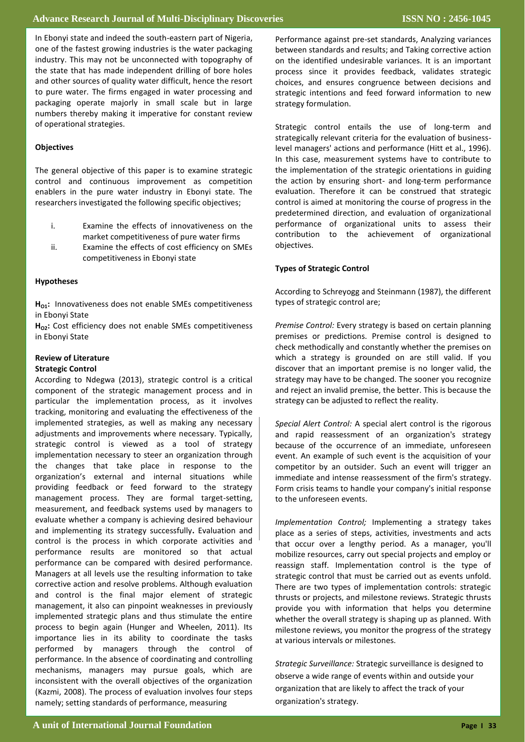In Ebonyi state and indeed the south eastern part of Nigeria,<br>one of the fastest growing industries is the water packaging **&batch2008 performance between traditional lecture and**  industry. This may not be unconnected with topography of **PBL:-** the state that has made independent drilling of bore holes In Ebonyi state and indeed the south-eastern part of Nigeria, and other sources of quality water difficult, hence the resort to pure water. The firms engaged in water processing and packaging operate majorly in small scale but in large numbers thereby making it imperative for constant review of operational strategies.

## **Objectives**

The general objective of this paper is to examine strategic control and continuous improvement as competition enablers in the pure water industry in Ebonyi state. The researchers investigated the following specific objectives;

- i. Examine the effects of innovativeness on the market competitiveness of pure water firms
	- ii. Examine the effects of cost efficiency on SMEs competitiveness in Ebonyi state

## **Very good course** 17 23.3% **Hypotheses**

**Good course** 13 17.8% **Fair course** 7 9.6 in Ebonyi State **HO1:** Innovativeness does not enable SMEs competitiveness

**Weak course** 3 4.1 in Ebonyi State H<sub>02</sub>: Cost efficiency does not enable SMEs competitiveness

## **Review of Literature**

## **Strategic Control**

component of the strategic management process and in **contents** particular the implementation process, as it involves implemented strategies, as well as making any necessary strategic control is viewed as a tool of strategy implementation necessary to steer an organization through organization's external and internal situations while **Fair** 3 4.2 management process. They are formal target-setting, measurement, and feedback systems used by managers to **Total 73 100%** and implementing its strategy successfully**.** Evaluation and performance can be compared with desired performance. **elements:-** corrective action and resolve problems. Although evaluation According to Ndegwa (2013), strategic control is a critical tracking, monitoring and evaluating the effectiveness of the adjustments and improvements where necessary. Typically, the changes that take place in response to the providing feedback or feed forward to the strategy evaluate whether a company is achieving desired behaviour control is the process in which corporate activities and performance results are monitored so that actual Managers at all levels use the resulting information to take and control is the final major element of strategic management, it also can pinpoint weaknesses in previously implemented strategic plans and thus stimulate the entire process to begin again (Hunger and Wheelen, 2011). Its importance lies in its ability to coordinate the tasks performed by managers through the control of performance. In the absence of coordinating and controlling mechanisms, managers may pursue goals, which are inconsistent with the overall objectives of the organization (Kazmi, 2008). The process of evaluation involves four steps namely; setting standards of performance, measuring

reflormatice agailist pre-set standards, Analyzing variances<br>between standards and results; and Taking corrective action on the identified undesirable variances. It is an important process since it provides feedback, validates strategic choices, and ensures congruence between decisions and strategic intentions and feed forward information to new strategy formulation. Performance against pre-set standards, Analyzing variances

Strategic control entails the use of long-term and strategiean, referant effective for the evaluation of basiness<br>level managers' actions and performance (Hitt et al., 1996). In this case, measurement systems have to contribute to the implementation of the strategic orientations in guiding the action by ensuring short- and long-term performance control is aimed at monitoring the course of progress in the performance of organizational units to assess their contribution to the achievement of organizational  $\mathsf{E}$ uatures. Concepts and performance between between between between  $\mathsf{E}$ strategically relevant criteria for the evaluation of businessevaluation. Therefore it can be construed that strategic predetermined direction, and evaluation of organizational objectives.

## **Types of Strategic Control**

According to Schreyogg and Steinmann (1987), the different types of strategic control are;

Premise Control: Every strategy is based on certain planning premises or predictions. Premise control is designed to .<br>check methodically and constantly whether the premises on **Study population:** Its include semester eight (fourth years) discover that an important premise is no longer valid, the strategy may have to be changed. The sooner you recognize and reject an invalid premise, the better. This is because the strategy can be adjusted to reflect the reality. which a strategy is grounded on are still valid. If you

Special Alert Control: A special alert control is the rigorous and rapid reassessment of an organization's strategy because of the occurrence of an immediate, unforeseen event. An example of such event is the acquisition of your and rapid reassessment of an organization's strategy<br>because of the occurrence of an immediate, unforeseen<br>event. An example of such event is the acquisition of your<br>competitor by an outsider. Such an event will trigger an Form crisis teams to handle your company's initial response to the unforeseen events. immediate and intense reassessment of the firm's strategy.

Implementation Control; Implementing a strategy takes place as a series or steps, activities, investments and acts<br>that occur over a lengthy period. As a manager, you'll mobilize resources, carry out special research board of the institutional resources, carry out special projects and employ or modified resources, early our special projects and employ or reassign staff. Implementation control is the type of reassign stand implementation control is the type of strategic control that must be carried out as events unfold. and use of the study of the study of the study of the study of the study of the strategic thrusts or projects, and milestone reviews. Strategic thrusts provide you with information that helps you determine place as a series of steps, activities, investments and acts whether the overall strategy is shaping up as planned. With milestone reviews, you monitor the progress of the strategy at various intervals or milestones.

*Strategic Surveillance:* Strategic surveillance is designed to observe a wide range of events within and outside your organization that are likely to affect the track of your organization's strategy.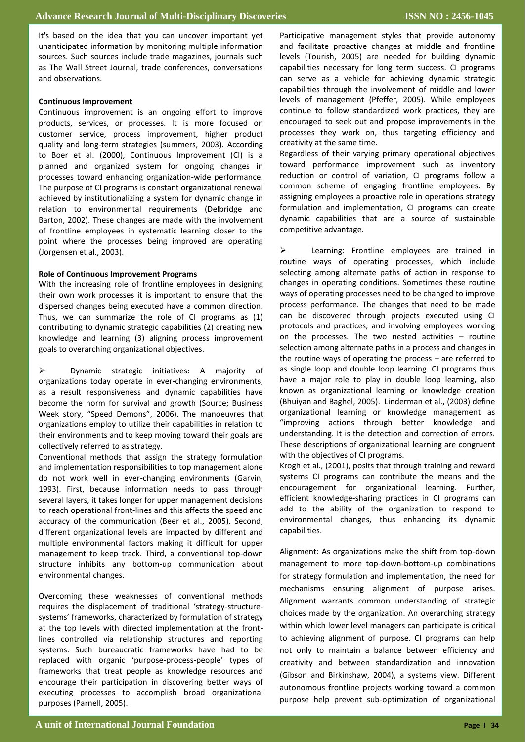It's based on the idea that you can uncover important yet unanticipated information by monitoring multiple information sources. Such sources include trade magazines, journals such as The Wall Street Journal, trade conferences, conversations and observations.

### **Continuous Improvement**

Continuous improvement is an ongoing effort to improve products, services, or processes. It is more focused on customer service, process improvement, higher product quality and long-term strategies (summers, 2003). According to Boer et al. (2000), Continuous Improvement (CI) is a planned and organized system for ongoing changes in processes toward enhancing organization-wide performance. The purpose of CI programs is constant organizational renewal achieved by institutionalizing a system for dynamic change in relation to environmental requirements (Delbridge and Barton, 2002). These changes are made with the involvement of frontline employees in systematic learning closer to the point where the processes being improved are operating (Jorgensen et al., 2003).

#### **Role of Continuous Improvement Programs**

With the increasing role of frontline employees in designing their own work processes it is important to ensure that the dispersed changes being executed have a common direction. Thus, we can summarize the role of CI programs as (1) contributing to dynamic strategic capabilities (2) creating new knowledge and learning (3) aligning process improvement goals to overarching organizational objectives.

 Dynamic strategic initiatives: A majority of organizations today operate in ever-changing environments; as a result responsiveness and dynamic capabilities have become the norm for survival and growth (Source; Business Week story, "Speed Demons", 2006). The manoeuvres that organizations employ to utilize their capabilities in relation to their environments and to keep moving toward their goals are collectively referred to as strategy.

Conventional methods that assign the strategy formulation and implementation responsibilities to top management alone do not work well in ever-changing environments (Garvin, 1993). First, because information needs to pass through several layers, it takes longer for upper management decisions to reach operational front-lines and this affects the speed and accuracy of the communication (Beer et al., 2005). Second, different organizational levels are impacted by different and multiple environmental factors making it difficult for upper management to keep track. Third, a conventional top-down structure inhibits any bottom-up communication about environmental changes.

Overcoming these weaknesses of conventional methods requires the displacement of traditional 'strategy-structuresystems' frameworks, characterized by formulation of strategy at the top levels with directed implementation at the frontlines controlled via relationship structures and reporting systems. Such bureaucratic frameworks have had to be replaced with organic 'purpose-process-people' types of frameworks that treat people as knowledge resources and encourage their participation in discovering better ways of executing processes to accomplish broad organizational purposes (Parnell, 2005).

Participative management styles that provide autonomy and facilitate proactive changes at middle and frontline levels (Tourish, 2005) are needed for building dynamic capabilities necessary for long term success. CI programs can serve as a vehicle for achieving dynamic strategic capabilities through the involvement of middle and lower levels of management (Pfeffer, 2005). While employees continue to follow standardized work practices, they are encouraged to seek out and propose improvements in the processes they work on, thus targeting efficiency and creativity at the same time.

Regardless of their varying primary operational objectives toward performance improvement such as inventory reduction or control of variation, CI programs follow a common scheme of engaging frontline employees. By assigning employees a proactive role in operations strategy formulation and implementation, CI programs can create dynamic capabilities that are a source of sustainable competitive advantage.

Exerning: Frontline employees are trained in routine ways of operating processes, which include selecting among alternate paths of action in response to changes in operating conditions. Sometimes these routine ways of operating processes need to be changed to improve process performance. The changes that need to be made can be discovered through projects executed using CI protocols and practices, and involving employees working on the processes. The two nested activities – routine selection among alternate paths in a process and changes in the routine ways of operating the process – are referred to as single loop and double loop learning. CI programs thus have a major role to play in double loop learning, also known as organizational learning or knowledge creation (Bhuiyan and Baghel, 2005). Linderman et al., (2003) define organizational learning or knowledge management as "improving actions through better knowledge and understanding. It is the detection and correction of errors. These descriptions of organizational learning are congruent with the objectives of CI programs.

Krogh et al., (2001), posits that through training and reward systems CI programs can contribute the means and the encouragement for organizational learning. Further, efficient knowledge-sharing practices in CI programs can add to the ability of the organization to respond to environmental changes, thus enhancing its dynamic capabilities.

Alignment: As organizations make the shift from top-down management to more top-down-bottom-up combinations for strategy formulation and implementation, the need for mechanisms ensuring alignment of purpose arises. Alignment warrants common understanding of strategic choices made by the organization. An overarching strategy within which lower level managers can participate is critical to achieving alignment of purpose. CI programs can help not only to maintain a balance between efficiency and creativity and between standardization and innovation (Gibson and Birkinshaw, 2004), a systems view. Different autonomous frontline projects working toward a common purpose help prevent sub-optimization of organizational

<u>objectives.</u>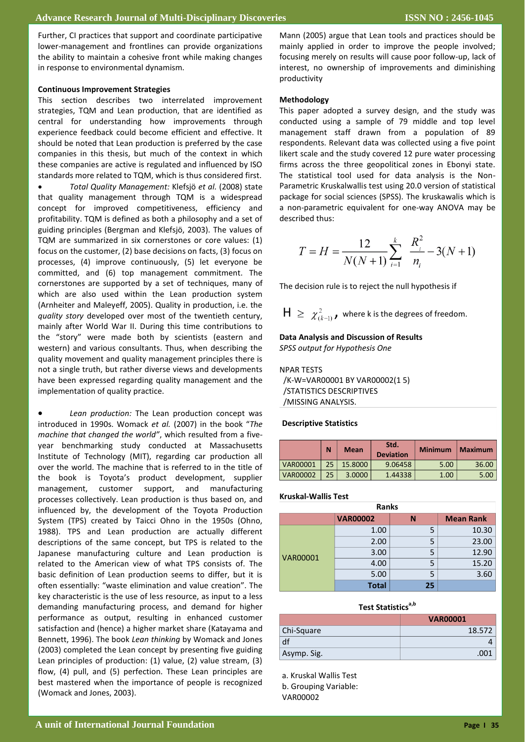Further, CI practices that support and coordinate participative lower-management and frontlines can provide organizations the ability to maintain a cohesive front while making changes in response to environmental dynamism.

#### **Continuous Improvement Strategies**

This section describes two interrelated improvement strategies, TQM and Lean production, that are identified as central for understanding how improvements through experience feedback could become efficient and effective. It should be noted that Lean production is preferred by the case companies in this thesis, but much of the context in which these companies are active is regulated and influenced by ISO standards more related to TQM, which is thus considered first.

 *Total Quality Management:* Klefsjö *et al.* (2008) state that quality management through TQM is a widespread concept for improved competitiveness, efficiency and profitability. TQM is defined as both a philosophy and a set of guiding principles (Bergman and Klefsjö, 2003). The values of TQM are summarized in six cornerstones or core values: (1) focus on the customer, (2) base decisions on facts, (3) focus on processes, (4) improve continuously, (5) let everyone be committed, and (6) top management commitment. The cornerstones are supported by a set of techniques, many of which are also used within the Lean production system (Arnheiter and Maleyeff, 2005). Quality in production, i.e. the *quality story* developed over most of the twentieth century, mainly after World War II. During this time contributions to the "story" were made both by scientists (eastern and western) and various consultants. Thus, when describing the quality movement and quality management principles there is not a single truth, but rather diverse views and developments have been expressed regarding quality management and the implementation of quality practice.

 *Lean production:* The Lean production concept was introduced in 1990s. Womack *et al.* (2007) in the book "*The machine that changed the world"*, which resulted from a fiveyear benchmarking study conducted at Massachusetts Institute of Technology (MIT), regarding car production all over the world. The machine that is referred to in the title of the book is Toyota's product development, supplier management, customer support, and manufacturing processes collectively. Lean production is thus based on, and influenced by, the development of the Toyota Production System (TPS) created by Taicci Ohno in the 1950s (Ohno, 1988). TPS and Lean production are actually different descriptions of the same concept, but TPS is related to the Japanese manufacturing culture and Lean production is related to the American view of what TPS consists of. The basic definition of Lean production seems to differ, but it is often essentially: "waste elimination and value creation". The key characteristic is the use of less resource, as input to a less demanding manufacturing process, and demand for higher performance as output, resulting in enhanced customer satisfaction and (hence) a higher market share (Katayama and Bennett, 1996). The book *Lean thinking* by Womack and Jones (2003) completed the Lean concept by presenting five guiding Lean principles of production: (1) value, (2) value stream, (3) flow, (4) pull, and (5) perfection. These Lean principles are best mastered when the importance of people is recognized (Womack and Jones, 2003).

Mann (2005) argue that Lean tools and practices should be mainly applied in order to improve the people involved; focusing merely on results will cause poor follow-up, lack of interest, no ownership of improvements and diminishing productivity

#### **Methodology**

This paper adopted a survey design, and the study was conducted using a sample of 79 middle and top level management staff drawn from a population of 89 respondents. Relevant data was collected using a five point likert scale and the study covered 12 pure water processing firms across the three geopolitical zones in Ebonyi state. The statistical tool used for data analysis is the Non-Parametric Kruskalwallis test using 20.0 version of statistical package for social sciences (SPSS). The kruskawalis which is a non-parametric equivalent for one-way ANOVA may be described thus:

$$
T = H = \frac{12}{N(N+1)} \sum_{i=1}^{k} \frac{R_i^2}{n_i} - 3(N+1)
$$

The decision rule is to reject the null hypothesis if

 $H \geq \chi^2_{(k-1)}$ , where k is the degrees of freedom.

### **Data Analysis and Discussion of Results**

*SPSS output for Hypothesis One* 

## NPAR TESTS

 /K-W=VAR00001 BY VAR00002(1 5) /STATISTICS DESCRIPTIVES /MISSING ANALYSIS.

#### **Descriptive Statistics**

|                 | N  | <b>Mean</b> | Std.<br><b>Deviation</b> | <b>Minimum</b> | <b>Maximum</b> |
|-----------------|----|-------------|--------------------------|----------------|----------------|
| VAR00001        | 25 | 15,8000     | 9.06458                  | 5.00           | 36.00          |
| <b>VAR00002</b> | 25 | 3.0000      | 1.44338                  | 1.00           | 5.00           |

## **Kruskal-Wallis Test**

| nalind          |                 |    |                  |  |  |
|-----------------|-----------------|----|------------------|--|--|
|                 | <b>VAR00002</b> | N  | <b>Mean Rank</b> |  |  |
| <b>VAR00001</b> | 1.00            | 5  | 10.30            |  |  |
|                 | 2.00            | 5  | 23.00            |  |  |
|                 | 3.00            | 5  | 12.90            |  |  |
|                 | 4.00            | 5  | 15.20            |  |  |
|                 | 5.00            | 5  | 3.60             |  |  |
|                 | <b>Total</b>    | 25 |                  |  |  |

**Ranks**

#### **Test Statisticsa,b**

|             | <b>VAR00001</b> |
|-------------|-----------------|
| Chi-Square  | 18.572          |
| df          |                 |
| Asymp. Sig. | 001             |

a. Kruskal Wallis Test b. Grouping Variable: VAR00002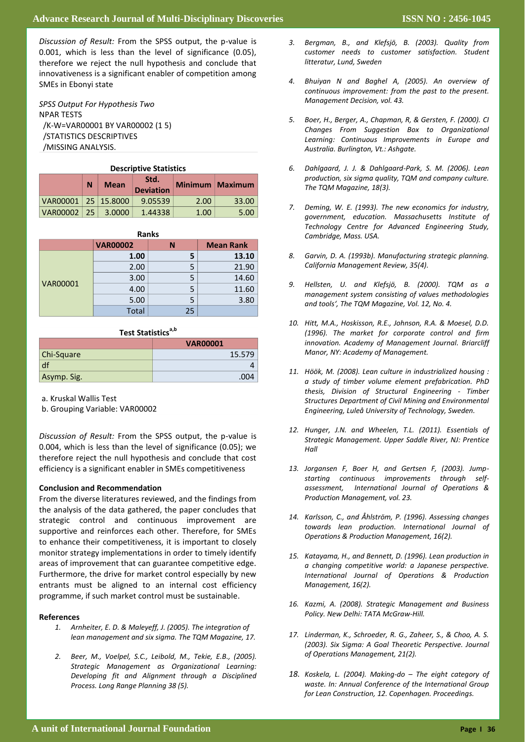Discussion of Result: From the SPSS output, the p-value is 0.001, which is less than the level of significance (0.05), **PBL:-** therefore we reject the null hypothesis and conclude that innovativeness is a significant enabler of competition among SMEs in Ebonyi state

*SPSS Output For Hypothesis Two* NPAR TESTS /K-W=VAR00001 BY VAR00002 (1 5) /STATISTICS DESCRIPTIVES /MISSING ANALYSIS.

| <b>Descriptive Statistics</b> |     |             |                          |      |                 |
|-------------------------------|-----|-------------|--------------------------|------|-----------------|
|                               | N   | <b>Mean</b> | Std.<br><b>Deviation</b> |      | Minimum Maximum |
| VAR00001   25   15.8000       |     |             | 9.05539                  | 2.00 | 33.00           |
| <b>VAR00002</b>               | -25 | 3.0000      | 1.44338                  | 1.00 | 5.00            |
|                               |     |             |                          |      |                 |

| <b>Ranks</b>    |                 |    |                  |  |  |
|-----------------|-----------------|----|------------------|--|--|
|                 | <b>VAR00002</b> | N  | <b>Mean Rank</b> |  |  |
| <b>VAR00001</b> | 1.00            | 5  | 13.10            |  |  |
|                 | 2.00            | 5  | 21.90            |  |  |
|                 | 3.00            | 5  | 14.60            |  |  |
|                 | 4.00            | 5  | 11.60            |  |  |
|                 | 5.00            | 5  | 3.80             |  |  |
|                 | <b>Total</b>    | 25 |                  |  |  |

## **Test Statistics**<sup>a,b</sup>

|             | <b>VAR00001</b> |
|-------------|-----------------|
| Chi-Square  | 15.579          |
| df          |                 |
| Asymp. Sig. | .004            |

**contents** a. Kruskal Wallis Test

b. Grouping Variable: VAR00002

**An excellent** 35 47.9% 0.004, which is less than the level of significance (0.05); we therefore reject the null hypothesis and conclude that cost **Good** 11 15% *Discussion of Result:* From the SPSS output, the p-value is efficiency is a significant enabler in SMEs competitiveness

#### **Conclusion and Recommendation**

**Fair** 3 4.2 From the diverse literatures reviewed, and the findings from the analysis of the data gathered, the paper concludes that supportive and reinforces each other. Therefore, for SMEs **Table No (3) the student skills in application course**  areas of improvement that can guarantee competitive edge. Furthermore, the drive for market control especially by new strategic control and continuous improvement are to enhance their competitiveness, it is important to closely monitor strategy implementations in order to timely identify entrants must be aligned to an internal cost efficiency programme, if such market control must be sustainable.

#### **References**

- *1. Arnheiter, E. D. & Maleyeff, J. (2005). The integration of lean management and six sigma. The TQM Magazine, 17.*
- *2. Beer, M., Voelpel, S.C., Leibold, M., Tekie, E.B., (2005). Strategic Management as Organizational Learning: Developing fit and Alignment through a Disciplined Process. Long Range Planning 38 (5).*
- *3. Bergman, B., and Klefsjö, B. (2003). Quality from customer needs to customer satisfaction. Student litteratur, Lund, Sweden*
- *4. Bhuiyan N and Baghel A, (2005). An overview of continuous improvement: from the past to the present. Management Decision, vol. 43.*
- *5. Boer, H., Berger, A., Chapman, R, & Gersten, F. (2000). CI Changes From Suggestion Box to Organizational Learning: Continuous Improvements in Europe and Australia. Burlington, Vt.: Ashgate.*
- *6. Dahlgaard, J. J. & Dahlgaard-Park, S. M. (2006). Lean production, six sigma quality, TQM and company culture. The TQM Magazine, 18(3).*
- *7. Deming, W. E. (1993). The new economics for industry, government, education. Massachusetts Institute of Technology Centre for Advanced Engineering Study, Cambridge, Mass. USA.*
- *8. Garvin, D. A. (1993b). Manufacturing strategic planning. California Management Review, 35(4).*
- *9. Hellsten, U. and Klefsjö, B. (2000). TQM as a management system consisting of values methodologies and tools', The TQM Magazine, Vol. 12, No. 4.*
- *10. Hitt, M.A., Hoskisson, R.E., Johnson, R.A. & Moesel, D.D. (1996). The market for corporate control and firm innovation. Academy of Management Journal. Briarcliff Manor, NY: Academy of Management.*
- *11. Höök, M. (2008). Lean culture in industrialized housing : a study of timber volume element prefabrication. PhD thesis, Division of Structural Engineering - Timber Structures Department of Civil Mining and Environmental Engineering, Luleå University of Technology, Sweden.*
- *12. Hunger, J.N. and Wheelen, T.L. (2011). Essentials of Strategic Management. Upper Saddle River, NJ: Prentice Hall*
- *13. Jorgansen F, Boer H, and Gertsen F, (2003). Jumpstarting continuous improvements through selfassessment, International Journal of Operations & Production Management, vol. 23.*
- *14. Karlsson, C., and Åhlström, P. (1996). Assessing changes towards lean production. International Journal of Operations & Production Management, 16(2).*
- *15. Katayama, H., and Bennett, D. (1996). Lean production in a changing competitive world: a Japanese perspective. International Journal of Operations & Production Management, 16(2).*
- *16. Kazmi, A. (2008). Strategic Management and Business Policy. New Delhi: TATA McGraw-Hill.*
- *17. Linderman, K., Schroeder, R. G., Zaheer, S., & Choo, A. S. (2003). Six Sigma: A Goal Theoretic Perspective. Journal of Operations Management, 21(2).*
- *18. Koskela, L. (2004). Making-do – The eight category of waste. In: Annual Conference of the International Group for Lean Construction, 12. Copenhagen. Proceedings.*